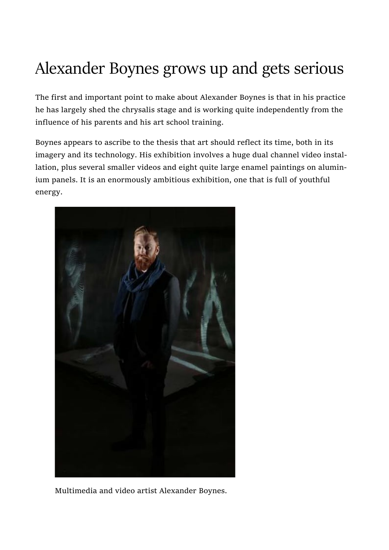## Alexander Boynes grows up and gets serious

The first and important point to make about Alexander Boynes is that in his practice he has largely shed the chrysalis stage and is working quite independently from the influence of his parents and his art school training.

Boynes appears to ascribe to the thesis that art should reflect its time, both in its imagery and its technology. His exhibition involves a huge dual channel video installation, plus several smaller videos and eight quite large enamel paintings on aluminium panels. It is an enormously ambitious exhibition, one that is full of youthful energy.



Multimedia and video artist Alexander Boynes.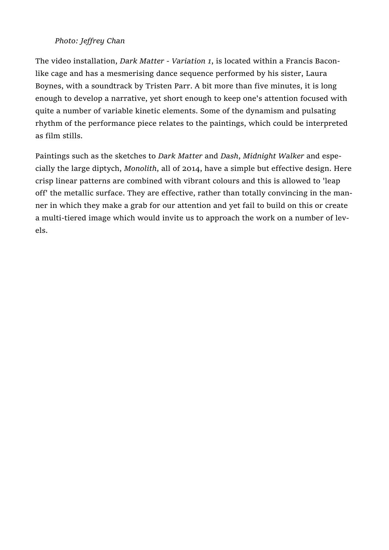## Photo: Jeffrey Chan

The video installation, Dark Matter - Variation 1, is located within a Francis Baconlike cage and has a mesmerising dance sequence performed by his sister, Laura Boynes, with a soundtrack by Tristen Parr. A bit more than five minutes, it is long enough to develop a narrative, yet short enough to keep one's attention focused with quite a number of variable kinetic elements. Some of the dynamism and pulsating rhythm of the performance piece relates to the paintings, which could be interpreted as film stills.

Paintings such as the sketches to Dark Matter and Dash, Midnight Walker and especially the large diptych, Monolith, all of 2014, have a simple but effective design. Here crisp linear patterns are combined with vibrant colours and this is allowed to 'leap off' the metallic surface. They are effective, rather than totally convincing in the manner in which they make a grab for our attention and yet fail to build on this or create a multi-tiered image which would invite us to approach the work on a number of levels.